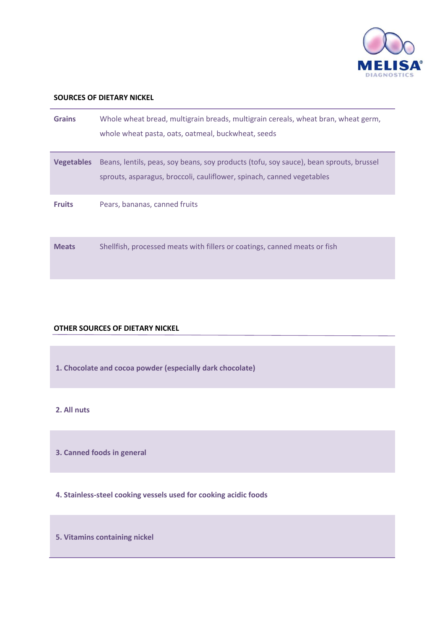

## **SOURCES OF DIETARY NICKEL**

| <b>Grains</b>     | Whole wheat bread, multigrain breads, multigrain cereals, wheat bran, wheat germ,<br>whole wheat pasta, oats, oatmeal, buckwheat, seeds                         |
|-------------------|-----------------------------------------------------------------------------------------------------------------------------------------------------------------|
| <b>Vegetables</b> | Beans, lentils, peas, soy beans, soy products (tofu, soy sauce), bean sprouts, brussel<br>sprouts, asparagus, broccoli, cauliflower, spinach, canned vegetables |
| <b>Fruits</b>     | Pears, bananas, canned fruits                                                                                                                                   |
| <b>Meats</b>      | Shellfish, processed meats with fillers or coatings, canned meats or fish                                                                                       |

#### **OTHER SOURCES OF DIETARY NICKEL**

**1. Chocolate and cocoa powder (especially dark chocolate)**

# **2. All nuts**

**3. Canned foods in general**

**4. Stainless-steel cooking vessels used for cooking acidic foods**

**5. Vitamins containing nickel**